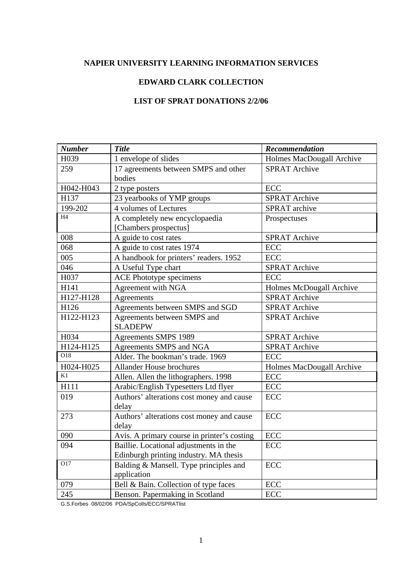## **NAPIER UNIVERSITY LEARNING INFORMATION SERVICES**

## **EDWARD CLARK COLLECTION**

## **LIST OF SPRAT DONATIONS 2/2/06**

| <b>Number</b>    | <b>Title</b>                                | Recommendation            |
|------------------|---------------------------------------------|---------------------------|
| H039             | 1 envelope of slides                        | Holmes MacDougall Archive |
| 259              | 17 agreements between SMPS and other        | <b>SPRAT Archive</b>      |
|                  | bodies                                      |                           |
| H042-H043        | 2 type posters                              | <b>ECC</b>                |
| H137             | 23 yearbooks of YMP groups                  | <b>SPRAT Archive</b>      |
| 199-202          | 4 volumes of Lectures                       | <b>SPRAT</b> archive      |
| H4               | A completely new encyclopaedia              | Prospectuses              |
|                  | [Chambers prospectus]                       |                           |
| 008              | A guide to cost rates                       | <b>SPRAT Archive</b>      |
| 068              | A guide to cost rates 1974                  | ECC                       |
| 005              | A handbook for printers' readers. 1952      | <b>ECC</b>                |
| 046              | A Useful Type chart                         | <b>SPRAT Archive</b>      |
| H037             | <b>ACE Phototype specimens</b>              | <b>ECC</b>                |
| H141             | Agreement with NGA                          | Holmes McDougall Archive  |
| H127-H128        | Agreements                                  | <b>SPRAT Archive</b>      |
| H126             | Agreements between SMPS and SGD             | <b>SPRAT Archive</b>      |
| H122-H123        | Agreements between SMPS and                 | <b>SPRAT Archive</b>      |
|                  | <b>SLADEPW</b>                              |                           |
| H034             | <b>Agreements SMPS 1989</b>                 | <b>SPRAT Archive</b>      |
| H124-H125        | Agreements SMPS and NGA                     | <b>SPRAT Archive</b>      |
| $\overline{O18}$ | Alder. The bookman's trade. 1969            | <b>ECC</b>                |
| H024-H025        | <b>Allander House brochures</b>             | Holmes MacDougall Archive |
| K1               | Allen. Allen the lithographers. 1998        | <b>ECC</b>                |
| H111             | Arabic/English Typesetters Ltd flyer        | ECC                       |
| 019              | Authors' alterations cost money and cause   | <b>ECC</b>                |
|                  | delay                                       |                           |
| 273              | Authors' alterations cost money and cause   | ECC                       |
|                  | delay                                       |                           |
| 090              | Avis. A primary course in printer's costing | <b>ECC</b>                |
| 094              | Baillie. Locational adjustments in the      | ECC                       |
|                  | Edinburgh printing industry. MA thesis      |                           |
| O17              | Balding & Mansell. Type principles and      | ECC                       |
|                  | application                                 |                           |
| 079              | Bell & Bain. Collection of type faces       | ECC                       |
| 245              | Benson. Papermaking in Scotland             | ECC                       |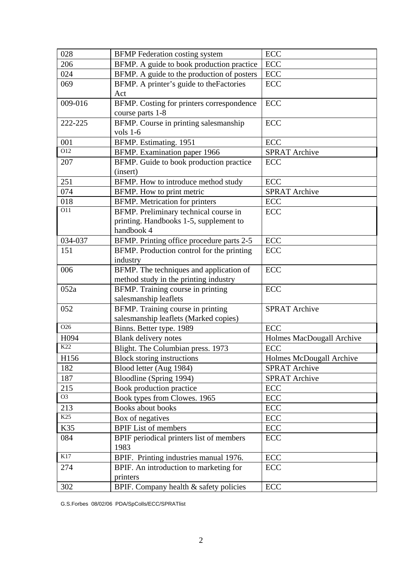| 028              | <b>BFMP</b> Federation costing system      | ECC                       |
|------------------|--------------------------------------------|---------------------------|
| 206              | BFMP. A guide to book production practice  | <b>ECC</b>                |
| 024              | BFMP. A guide to the production of posters | ECC                       |
| 069              | BFMP. A printer's guide to the Factories   | ECC                       |
|                  | Act                                        |                           |
| 009-016          | BFMP. Costing for printers correspondence  | <b>ECC</b>                |
|                  | course parts 1-8                           |                           |
| 222-225          | BFMP. Course in printing salesmanship      | <b>ECC</b>                |
|                  | vols $1-6$                                 |                           |
| 001              | BFMP. Estimating. 1951                     | ECC                       |
| O12              | BFMP. Examination paper 1966               | <b>SPRAT Archive</b>      |
| 207              | BFMP. Guide to book production practice    | ECC                       |
|                  | (insert)                                   |                           |
| 251              | BFMP. How to introduce method study        | <b>ECC</b>                |
| 074              | BFMP. How to print metric                  | <b>SPRAT Archive</b>      |
| 018              | <b>BFMP.</b> Metrication for printers      | ECC                       |
| O11              | BFMP. Preliminary technical course in      | ECC                       |
|                  | printing. Handbooks 1-5, supplement to     |                           |
|                  | handbook 4                                 |                           |
| 034-037          | BFMP. Printing office procedure parts 2-5  | ECC                       |
| 151              | BFMP. Production control for the printing  | ECC                       |
|                  | industry                                   |                           |
| 006              | BFMP. The techniques and application of    | <b>ECC</b>                |
|                  | method study in the printing industry      |                           |
| 052a             | BFMP. Training course in printing          | <b>ECC</b>                |
|                  | salesmanship leaflets                      |                           |
| 052              | BFMP. Training course in printing          | <b>SPRAT Archive</b>      |
|                  | salesmanship leaflets (Marked copies)      |                           |
| $\overline{O26}$ | Binns. Better type. 1989                   | ECC                       |
| H094             | <b>Blank delivery notes</b>                | Holmes MacDougall Archive |
| K22              | Blight. The Columbian press. 1973          | ECC                       |
| H156             | <b>Block storing instructions</b>          | Holmes McDougall Archive  |
| 182              | Blood letter (Aug 1984)                    | <b>SPRAT Archive</b>      |
| 187              | Bloodline (Spring 1994)                    | <b>SPRAT Archive</b>      |
| 215              | Book production practice                   | ECC                       |
| O <sub>3</sub>   | Book types from Clowes. 1965               | ECC                       |
| 213              | <b>Books</b> about books                   | ECC                       |
| K25              | Box of negatives                           | ECC                       |
| K35              | <b>BPIF</b> List of members                | ECC                       |
| 084              | BPIF periodical printers list of members   | ECC                       |
|                  | 1983                                       |                           |
| K17              | BPIF. Printing industries manual 1976.     | ECC                       |
| 274              | BPIF. An introduction to marketing for     | ECC                       |
|                  | printers                                   |                           |
| 302              | BPIF. Company health & safety policies     | ECC                       |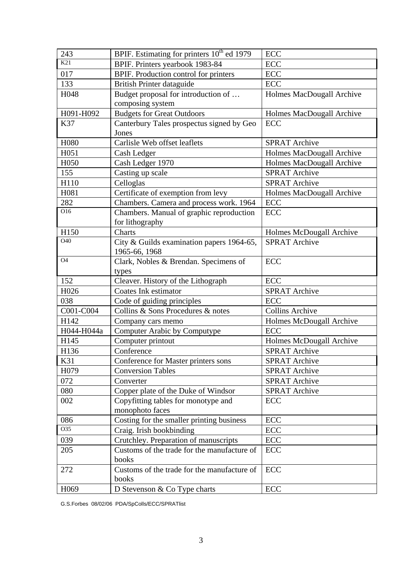| 243              | BPIF. Estimating for printers 10 <sup>th</sup> ed 1979 | ECC                       |
|------------------|--------------------------------------------------------|---------------------------|
| K21              | BPIF. Printers yearbook 1983-84                        | ECC                       |
| 017              | BPIF. Production control for printers                  | ECC                       |
| 133              | British Printer dataguide                              | ECC                       |
| H <sub>048</sub> | Budget proposal for introduction of                    | Holmes MacDougall Archive |
|                  | composing system                                       |                           |
| H091-H092        | <b>Budgets for Great Outdoors</b>                      | Holmes MacDougall Archive |
| K37              | Canterbury Tales prospectus signed by Geo              | <b>ECC</b>                |
|                  | Jones                                                  |                           |
| H080             | Carlisle Web offset leaflets                           | <b>SPRAT Archive</b>      |
| H <sub>051</sub> | Cash Ledger                                            | Holmes MacDougall Archive |
| H050             | Cash Ledger 1970                                       | Holmes MacDougall Archive |
| 155              | Casting up scale                                       | <b>SPRAT Archive</b>      |
| H110             | Celloglas                                              | <b>SPRAT Archive</b>      |
| H081             | Certificate of exemption from levy                     | Holmes MacDougall Archive |
| 282              | Chambers. Camera and process work. 1964                | ECC                       |
| O16              | Chambers. Manual of graphic reproduction               | ECC                       |
|                  | for lithography                                        |                           |
| H150             | Charts                                                 | Holmes McDougall Archive  |
| O40              | City & Guilds examination papers 1964-65,              | <b>SPRAT Archive</b>      |
|                  | 1965-66, 1968                                          |                           |
| <b>O4</b>        | Clark, Nobles & Brendan. Specimens of                  | <b>ECC</b>                |
|                  | types                                                  |                           |
| 152              | Cleaver. History of the Lithograph                     | <b>ECC</b>                |
| H026             | Coates Ink estimator                                   | <b>SPRAT Archive</b>      |
| 038              | Code of guiding principles                             | <b>ECC</b>                |
| C001-C004        | Collins & Sons Procedures & notes                      | <b>Collins Archive</b>    |
| H142             | Company cars memo                                      | Holmes McDougall Archive  |
| H044-H044a       | Computer Arabic by Computype                           | <b>ECC</b>                |
| H145             | Computer printout                                      | Holmes McDougall Archive  |
| H136             | Conference                                             | <b>SPRAT Archive</b>      |
| K31              | Conference for Master printers sons                    | <b>SPRAT Archive</b>      |
| H <sub>079</sub> | <b>Conversion Tables</b>                               | <b>SPRAT Archive</b>      |
| 072              | Converter                                              | <b>SPRAT Archive</b>      |
| 080              | Copper plate of the Duke of Windsor                    | <b>SPRAT Archive</b>      |
| 002              | Copyfitting tables for monotype and                    | ECC                       |
|                  | monophoto faces                                        |                           |
| 086              | Costing for the smaller printing business              | ECC                       |
| O35              | Craig. Irish bookbinding                               | ECC                       |
| 039              | Crutchley. Preparation of manuscripts                  | ECC                       |
| 205              | Customs of the trade for the manufacture of            | ECC                       |
|                  | books                                                  |                           |
| 272              | Customs of the trade for the manufacture of            | ECC                       |
|                  | books                                                  |                           |
| H <sub>069</sub> | D Stevenson & Co Type charts                           | ECC                       |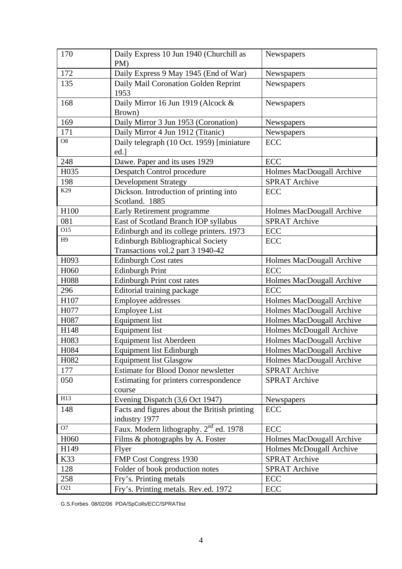| 170               | Daily Express 10 Jun 1940 (Churchill as<br>PM)                | Newspapers                |
|-------------------|---------------------------------------------------------------|---------------------------|
| 172               | Daily Express 9 May 1945 (End of War)                         | Newspapers                |
| 135               | Daily Mail Coronation Golden Reprint<br>1953                  | Newspapers                |
| 168               | Daily Mirror 16 Jun 1919 (Alcock &<br>Brown)                  | Newspapers                |
| 169               | Daily Mirror 3 Jun 1953 (Coronation)                          | Newspapers                |
| 171               | Daily Mirror 4 Jun 1912 (Titanic)                             | Newspapers                |
| O8                | Daily telegraph (10 Oct. 1959) [miniature<br>ed.]             | <b>ECC</b>                |
| 248               | Dawe. Paper and its uses 1929                                 | <b>ECC</b>                |
| H035              | Despatch Control procedure                                    | Holmes MacDougall Archive |
| 198               | <b>Development Strategy</b>                                   | <b>SPRAT Archive</b>      |
| K29               | Dickson. Introduction of printing into<br>Scotland. 1885      | ECC                       |
| H100              | Early Retirement programme                                    | Holmes MacDougall Archive |
| 081               | East of Scotland Branch IOP syllabus                          | <b>SPRAT Archive</b>      |
| $\overline{O15}$  | Edinburgh and its college printers. 1973                      | ECC                       |
| H9                | Edinburgh Bibliographical Society                             | <b>ECC</b>                |
|                   | Transactions vol.2 part 3 1940-42                             |                           |
| H093              | <b>Edinburgh Cost rates</b>                                   | Holmes MacDougall Archive |
| H <sub>060</sub>  | <b>Edinburgh Print</b>                                        | <b>ECC</b>                |
| H088              | Edinburgh Print cost rates                                    | Holmes MacDougall Archive |
| 296               | Editorial training package                                    | ECC                       |
| H107              | Employee addresses                                            | Holmes MacDougall Archive |
| H077              | <b>Employee List</b>                                          | Holmes MacDougall Archive |
| H087              | Equipment list                                                | Holmes MacDougall Archive |
| H148              | Equipment list                                                | Holmes McDougall Archive  |
| H083              | Equipment list Aberdeen                                       | Holmes MacDougall Archive |
| H084              | Equipment list Edinburgh                                      | Holmes MacDougall Archive |
| H <sub>0</sub> 82 | <b>Equipment list Glasgow</b>                                 | Holmes MacDougall Archive |
| 177               | <b>Estimate for Blood Donor newsletter</b>                    | <b>SPRAT Archive</b>      |
| 050               | Estimating for printers correspondence<br>course              | <b>SPRAT Archive</b>      |
| H13               | Evening Dispatch (3,6 Oct 1947)                               | Newspapers                |
| 148               | Facts and figures about the British printing<br>industry 1977 | ECC                       |
| O7                | Faux. Modern lithography. 2 <sup>nd</sup> ed. 1978            | <b>ECC</b>                |
| H <sub>060</sub>  | Films & photographs by A. Foster                              | Holmes MacDougall Archive |
| H149              | Flyer                                                         | Holmes McDougall Archive  |
| K33               | FMP Cost Congress 1930                                        | <b>SPRAT Archive</b>      |
| 128               | Folder of book production notes                               | <b>SPRAT Archive</b>      |
| 258               | Fry's. Printing metals                                        | ECC                       |
| O21               | Fry's. Printing metals. Rev.ed. 1972                          | ECC                       |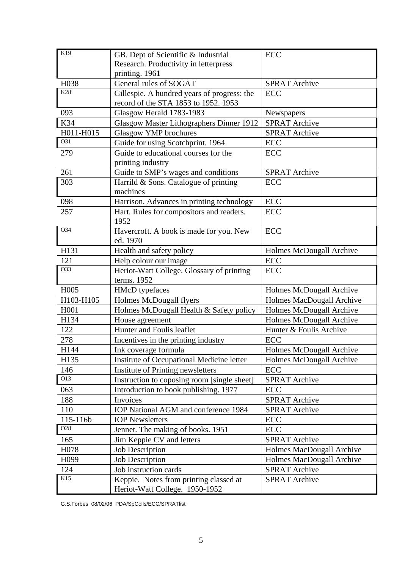| K19              | GB. Dept of Scientific & Industrial         | ECC                       |
|------------------|---------------------------------------------|---------------------------|
|                  | Research. Productivity in letterpress       |                           |
|                  | printing. 1961                              |                           |
| H038             | General rules of SOGAT                      | <b>SPRAT Archive</b>      |
| K28              | Gillespie. A hundred years of progress: the | <b>ECC</b>                |
|                  | record of the STA 1853 to 1952. 1953        |                           |
| 093              | Glasgow Herald 1783-1983                    | Newspapers                |
| K34              | Glasgow Master Lithographers Dinner 1912    | <b>SPRAT Archive</b>      |
| H011-H015        | <b>Glasgow YMP</b> brochures                | <b>SPRAT Archive</b>      |
| O31              | Guide for using Scotchprint. 1964           | <b>ECC</b>                |
| 279              | Guide to educational courses for the        | ECC                       |
|                  | printing industry                           |                           |
| 261              | Guide to SMP's wages and conditions         | <b>SPRAT Archive</b>      |
| 303              | Harrild & Sons. Catalogue of printing       | <b>ECC</b>                |
|                  | machines                                    |                           |
| 098              | Harrison. Advances in printing technology   | ECC                       |
| 257              | Hart. Rules for compositors and readers.    | <b>ECC</b>                |
|                  | 1952                                        |                           |
| $\overline{O34}$ | Havercroft. A book is made for you. New     | ECC                       |
|                  | ed. 1970                                    |                           |
| H131             | Health and safety policy                    | Holmes McDougall Archive  |
| 121              | Help colour our image                       | ECC                       |
| O33              | Heriot-Watt College. Glossary of printing   | <b>ECC</b>                |
|                  | terms. 1952                                 |                           |
| H005             | <b>HMcD</b> typefaces                       | Holmes McDougall Archive  |
| H103-H105        | Holmes McDougall flyers                     | Holmes MacDougall Archive |
| H001             | Holmes McDougall Health & Safety policy     | Holmes McDougall Archive  |
| H134             | House agreement                             | Holmes McDougall Archive  |
| 122              | Hunter and Foulis leaflet                   | Hunter & Foulis Archive   |
| 278              | Incentives in the printing industry         | <b>ECC</b>                |
| H144             | Ink coverage formula                        | Holmes McDougall Archive  |
| H135             | Institute of Occupational Medicine letter   | Holmes McDougall Archive  |
| 146              | Institute of Printing newsletters           | ECC                       |
| O13              | Instruction to coposing room [single sheet] | <b>SPRAT Archive</b>      |
| 063              | Introduction to book publishing. 1977       | ECC                       |
| 188              | Invoices                                    | <b>SPRAT Archive</b>      |
| 110              | IOP National AGM and conference 1984        | <b>SPRAT Archive</b>      |
| 115-116b         | <b>IOP</b> Newsletters                      | $\operatorname{ECC}$      |
| O28              | Jennet. The making of books. 1951           | <b>ECC</b>                |
| 165              | Jim Keppie CV and letters                   | <b>SPRAT Archive</b>      |
| H <sub>078</sub> | <b>Job Description</b>                      | Holmes MacDougall Archive |
| H <sub>099</sub> | <b>Job Description</b>                      | Holmes MacDougall Archive |
| 124              | Job instruction cards                       | <b>SPRAT Archive</b>      |
| K15              | Keppie. Notes from printing classed at      | <b>SPRAT Archive</b>      |
|                  | Heriot-Watt College. 1950-1952              |                           |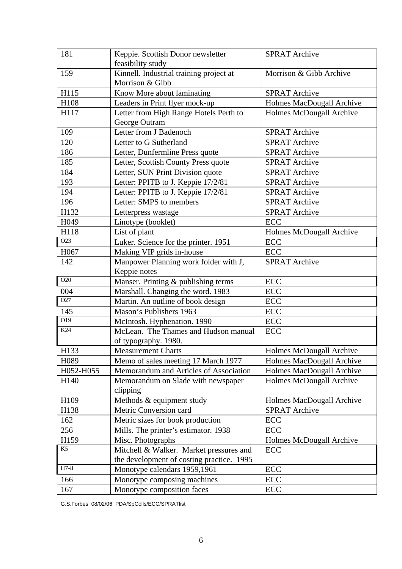| 181              | Keppie. Scottish Donor newsletter         | <b>SPRAT Archive</b>      |
|------------------|-------------------------------------------|---------------------------|
|                  | feasibility study                         |                           |
| 159              | Kinnell. Industrial training project at   | Morrison & Gibb Archive   |
|                  | Morrison & Gibb                           |                           |
| H115             | Know More about laminating                | <b>SPRAT Archive</b>      |
| H108             | Leaders in Print flyer mock-up            | Holmes MacDougall Archive |
| H117             | Letter from High Range Hotels Perth to    | Holmes McDougall Archive  |
|                  | George Outram                             |                           |
| 109              | Letter from J Badenoch                    | <b>SPRAT Archive</b>      |
| 120              | Letter to G Sutherland                    | <b>SPRAT Archive</b>      |
| 186              | Letter, Dunfermline Press quote           | <b>SPRAT Archive</b>      |
| 185              | Letter, Scottish County Press quote       | <b>SPRAT Archive</b>      |
| 184              | Letter, SUN Print Division quote          | <b>SPRAT Archive</b>      |
| 193              | Letter: PPITB to J. Keppie 17/2/81        | <b>SPRAT Archive</b>      |
| 194              | Letter: PPITB to J. Keppie 17/2/81        | <b>SPRAT Archive</b>      |
| 196              | Letter: SMPS to members                   | <b>SPRAT Archive</b>      |
| H132             | Letterpress wastage                       | <b>SPRAT Archive</b>      |
| H <sub>049</sub> | Linotype (booklet)                        | <b>ECC</b>                |
| H118             | List of plant                             | Holmes McDougall Archive  |
| O23              | Luker. Science for the printer. 1951      | ECC                       |
| H <sub>067</sub> | Making VIP grids in-house                 | <b>ECC</b>                |
| 142              | Manpower Planning work folder with J,     | <b>SPRAT Archive</b>      |
|                  | Keppie notes                              |                           |
| O20              | Manser. Printing & publishing terms       | ECC                       |
| 004              | Marshall. Changing the word. 1983         | <b>ECC</b>                |
| O27              | Martin. An outline of book design         | ECC                       |
| 145              | Mason's Publishers 1963                   | ECC                       |
| O19              | McIntosh. Hyphenation. 1990               | ECC                       |
| K24              | McLean. The Thames and Hudson manual      | <b>ECC</b>                |
|                  | of typography. 1980.                      |                           |
| H133             | <b>Measurement Charts</b>                 | Holmes McDougall Archive  |
| H089             | Memo of sales meeting 17 March 1977       | Holmes MacDougall Archive |
| H052-H055        | Memorandum and Articles of Association    | Holmes MacDougall Archive |
| H140             | Memorandum on Slade with newspaper        | Holmes McDougall Archive  |
|                  | clipping                                  |                           |
| H109             | Methods & equipment study                 | Holmes MacDougall Archive |
| H138             | Metric Conversion card                    | <b>SPRAT Archive</b>      |
| 162              | Metric sizes for book production          | ECC                       |
| 256              | Mills. The printer's estimator. 1938      | ECC                       |
| H159             | Misc. Photographs                         | Holmes McDougall Archive  |
| K <sub>5</sub>   | Mitchell & Walker. Market pressures and   | ECC                       |
|                  | the development of costing practice. 1995 |                           |
| $H7-8$           | Monotype calendars 1959,1961              | ECC                       |
| 166              | Monotype composing machines               | ECC                       |
| 167              | Monotype composition faces                | ECC                       |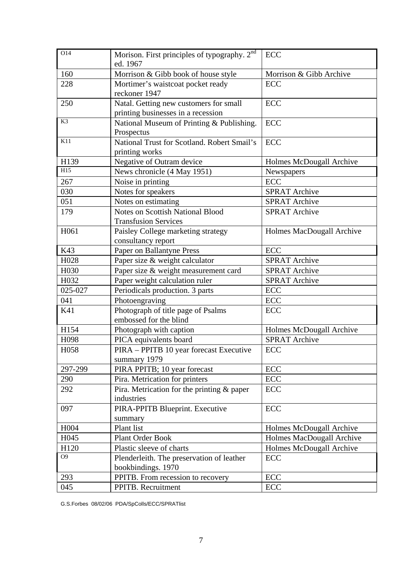| O <sub>14</sub>   | Morison. First principles of typography. $2nd$<br>ed. 1967 | <b>ECC</b>                |
|-------------------|------------------------------------------------------------|---------------------------|
| 160               | Morrison & Gibb book of house style                        | Morrison & Gibb Archive   |
| 228               | Mortimer's waistcoat pocket ready                          | ECC                       |
|                   | reckoner 1947                                              |                           |
| 250               | Natal. Getting new customers for small                     | <b>ECC</b>                |
|                   | printing businesses in a recession                         |                           |
| K3                | National Museum of Printing & Publishing.                  | <b>ECC</b>                |
|                   | Prospectus                                                 |                           |
| K11               | National Trust for Scotland. Robert Smail's                | <b>ECC</b>                |
|                   | printing works                                             |                           |
| H139              | Negative of Outram device                                  | Holmes McDougall Archive  |
| H15               | News chronicle (4 May 1951)                                | Newspapers                |
| 267               | Noise in printing                                          | <b>ECC</b>                |
| 030               | Notes for speakers                                         | <b>SPRAT Archive</b>      |
| 051               | Notes on estimating                                        | <b>SPRAT Archive</b>      |
| 179               | <b>Notes on Scottish National Blood</b>                    | <b>SPRAT Archive</b>      |
|                   | <b>Transfusion Services</b>                                |                           |
| H061              | Paisley College marketing strategy                         | Holmes MacDougall Archive |
|                   | consultancy report                                         |                           |
| K43               | Paper on Ballantyne Press                                  | <b>ECC</b>                |
| H028              | Paper size & weight calculator                             | <b>SPRAT Archive</b>      |
| H <sub>0</sub> 30 | Paper size & weight measurement card                       | <b>SPRAT Archive</b>      |
| H032              | Paper weight calculation ruler                             | <b>SPRAT Archive</b>      |
| 025-027           | Periodicals production. 3 parts                            | ECC                       |
| 041               | Photoengraving                                             | ECC                       |
| K41               | Photograph of title page of Psalms                         | ECC                       |
|                   | embossed for the blind                                     |                           |
| H154              | Photograph with caption                                    | Holmes McDougall Archive  |
| H098              | PICA equivalents board                                     | <b>SPRAT Archive</b>      |
| H058              | PIRA - PPITB 10 year forecast Executive<br>summary 1979    | ECC                       |
| 297-299           | PIRA PPITB; 10 year forecast                               | ECC                       |
| 290               | Pira. Metrication for printers                             | <b>ECC</b>                |
| 292               | Pira. Metrication for the printing $&$ paper               | ECC                       |
|                   | industries                                                 |                           |
| 097               | PIRA-PPITB Blueprint. Executive                            | ECC                       |
|                   | summary                                                    |                           |
| H <sub>004</sub>  | Plant list                                                 | Holmes McDougall Archive  |
| H045              | Plant Order Book                                           | Holmes MacDougall Archive |
| H120              | Plastic sleeve of charts                                   | Holmes McDougall Archive  |
| O <sub>9</sub>    | Plenderleith. The preservation of leather                  | ECC                       |
|                   | bookbindings. 1970                                         |                           |
| 293               | PPITB. From recession to recovery                          | ECC                       |
| 045               | PPITB. Recruitment                                         | ECC                       |
|                   |                                                            |                           |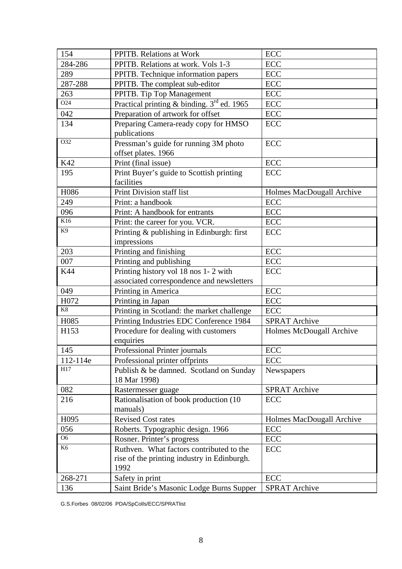| 154               | PPITB. Relations at Work                                                                        | ECC                       |
|-------------------|-------------------------------------------------------------------------------------------------|---------------------------|
| 284-286           | PPITB. Relations at work. Vols 1-3                                                              | ECC                       |
| 289               | PPITB. Technique information papers                                                             | ECC                       |
| 287-288           | PPITB. The compleat sub-editor                                                                  | <b>ECC</b>                |
| 263               | PPITB. Tip Top Management                                                                       | ECC                       |
| $\overline{O24}$  | Practical printing & binding. 3rd ed. 1965                                                      | <b>ECC</b>                |
| 042               | Preparation of artwork for offset                                                               | ECC                       |
| 134               | Preparing Camera-ready copy for HMSO<br>publications                                            | <b>ECC</b>                |
| O32               | Pressman's guide for running 3M photo<br>offset plates. 1966                                    | ECC                       |
| K42               | Print (final issue)                                                                             | ECC                       |
| 195               | Print Buyer's guide to Scottish printing<br>facilities                                          | <b>ECC</b>                |
| H086              | Print Division staff list                                                                       | Holmes MacDougall Archive |
| 249               | Print: a handbook                                                                               | ECC                       |
| 096               | Print: A handbook for entrants                                                                  | ECC                       |
| K16               | Print: the career for you. VCR.                                                                 | ECC                       |
| K <sub>9</sub>    | Printing & publishing in Edinburgh: first<br>impressions                                        | <b>ECC</b>                |
| 203               | Printing and finishing                                                                          | <b>ECC</b>                |
| 007               | Printing and publishing                                                                         | <b>ECC</b>                |
| K44               | Printing history vol 18 nos 1-2 with<br>associated correspondence and newsletters               | <b>ECC</b>                |
| 049               | Printing in America                                                                             | ECC                       |
| H072              | Printing in Japan                                                                               | ECC                       |
| K8                | Printing in Scotland: the market challenge                                                      | <b>ECC</b>                |
| H <sub>0</sub> 85 | Printing Industries EDC Conference 1984                                                         | <b>SPRAT Archive</b>      |
| H153              | Procedure for dealing with customers<br>enquiries                                               | Holmes McDougall Archive  |
| 145               | Professional Printer journals                                                                   | ECC                       |
| 112-114e          | Professional printer offprints                                                                  | ECC                       |
| H17               | Publish & be damned. Scotland on Sunday<br>18 Mar 1998)                                         | Newspapers                |
| 082               | Rastermesser guage                                                                              | <b>SPRAT Archive</b>      |
| 216               | Rationalisation of book production (10<br>manuals)                                              | <b>ECC</b>                |
| H <sub>095</sub>  | <b>Revised Cost rates</b>                                                                       | Holmes MacDougall Archive |
| 056               | Roberts. Typographic design. 1966                                                               | ECC                       |
| O6                | Rosner. Printer's progress                                                                      | ECC                       |
| K <sub>6</sub>    | Ruthven. What factors contributed to the<br>rise of the printing industry in Edinburgh.<br>1992 | ECC                       |
| 268-271           | Safety in print                                                                                 | <b>ECC</b>                |
| 136               | Saint Bride's Masonic Lodge Burns Supper                                                        | <b>SPRAT Archive</b>      |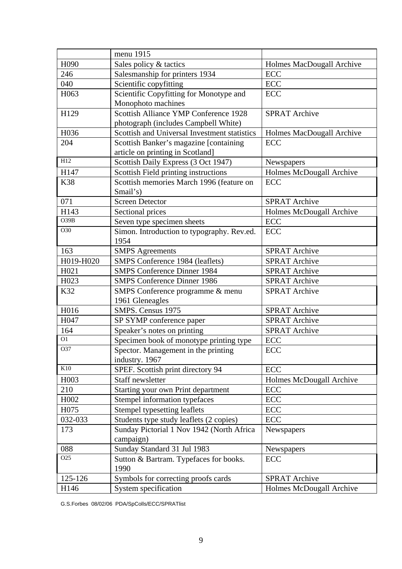|                   | menu 1915                                    |                           |
|-------------------|----------------------------------------------|---------------------------|
| H090              | Sales policy & tactics                       | Holmes MacDougall Archive |
| 246               | Salesmanship for printers 1934               | <b>ECC</b>                |
| 040               | Scientific copyfitting                       | <b>ECC</b>                |
| H <sub>063</sub>  | Scientific Copyfitting for Monotype and      | ECC                       |
|                   | Monophoto machines                           |                           |
| H129              | Scottish Alliance YMP Conference 1928        | <b>SPRAT Archive</b>      |
|                   | photograph (includes Campbell White)         |                           |
| H036              | Scottish and Universal Investment statistics | Holmes MacDougall Archive |
| 204               | Scottish Banker's magazine [containing]      | <b>ECC</b>                |
|                   | article on printing in Scotland]             |                           |
| $\overline{H12}$  | Scottish Daily Express (3 Oct 1947)          | Newspapers                |
| H147              | Scottish Field printing instructions         | Holmes McDougall Archive  |
| <b>K38</b>        | Scottish memories March 1996 (feature on     | ECC                       |
|                   | Smail's)                                     |                           |
| 071               | <b>Screen Detector</b>                       | <b>SPRAT Archive</b>      |
| H143              | Sectional prices                             | Holmes McDougall Archive  |
| O39B              | Seven type specimen sheets                   | <b>ECC</b>                |
| O30               | Simon. Introduction to typography. Rev.ed.   | ECC                       |
|                   | 1954                                         |                           |
| 163               | <b>SMPS</b> Agreements                       | <b>SPRAT Archive</b>      |
| H019-H020         | SMPS Conference 1984 (leaflets)              | <b>SPRAT Archive</b>      |
| H021              | <b>SMPS Conference Dinner 1984</b>           | <b>SPRAT Archive</b>      |
| H <sub>023</sub>  | <b>SMPS Conference Dinner 1986</b>           | <b>SPRAT Archive</b>      |
| K32               | SMPS Conference programme & menu             | <b>SPRAT Archive</b>      |
|                   | 1961 Gleneagles                              |                           |
| H016              | SMPS. Census 1975                            | <b>SPRAT Archive</b>      |
| H047              | SP SYMP conference paper                     | <b>SPRAT Archive</b>      |
| 164               | Speaker's notes on printing                  | <b>SPRAT Archive</b>      |
| $\overline{O1}$   | Specimen book of monotype printing type      | ECC                       |
| O37               | Spector. Management in the printing          | $\operatorname{ECC}$      |
|                   | industry. 1967                               |                           |
| K10               | SPEF. Scottish print directory 94            | ECC                       |
| H <sub>0</sub> 03 | Staff newsletter                             | Holmes McDougall Archive  |
| 210               | Starting your own Print department           | ECC                       |
| H002              | Stempel information typefaces                | ECC                       |
| H075              | Stempel typesetting leaflets                 | ECC                       |
| 032-033           | Students type study leaflets (2 copies)      | ECC                       |
| 173               | Sunday Pictorial 1 Nov 1942 (North Africa    | Newspapers                |
|                   | campaign)                                    |                           |
| 088               | Sunday Standard 31 Jul 1983                  | Newspapers                |
| O25               | Sutton & Bartram. Typefaces for books.       | ECC                       |
|                   | 1990                                         |                           |
| 125-126           | Symbols for correcting proofs cards          | <b>SPRAT Archive</b>      |
| H146              | System specification                         | Holmes McDougall Archive  |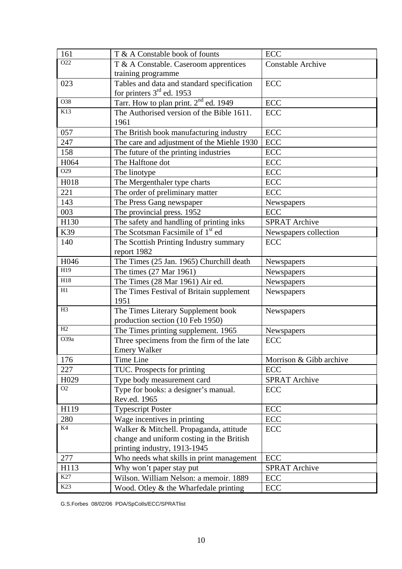| 161              | T & A Constable book of founts                    | ECC                      |
|------------------|---------------------------------------------------|--------------------------|
| O22              | T & A Constable. Caseroom apprentices             | <b>Constable Archive</b> |
|                  | training programme                                |                          |
| 023              | Tables and data and standard specification        | <b>ECC</b>               |
|                  | for printers $3rd$ ed. 1953                       |                          |
| $\overline{O38}$ | Tarr. How to plan print. 2 <sup>nd</sup> ed. 1949 | <b>ECC</b>               |
| K13              | The Authorised version of the Bible 1611.         | <b>ECC</b>               |
|                  | 1961                                              |                          |
| 057              | The British book manufacturing industry           | <b>ECC</b>               |
| 247              | The care and adjustment of the Miehle 1930        | ECC                      |
| 158              | The future of the printing industries             | <b>ECC</b>               |
| H064             | The Halftone dot                                  | ECC                      |
| O <sub>29</sub>  | The linotype                                      | <b>ECC</b>               |
| H018             | The Mergenthaler type charts                      | <b>ECC</b>               |
| 221              | The order of preliminary matter                   | <b>ECC</b>               |
| 143              | The Press Gang newspaper                          | Newspapers               |
| 003              | The provincial press. 1952                        | ECC                      |
| H130             | The safety and handling of printing inks          | <b>SPRAT Archive</b>     |
| K39              | The Scotsman Facsimile of 1 <sup>st</sup> ed      | Newspapers collection    |
| 140              | The Scottish Printing Industry summary            | <b>ECC</b>               |
|                  | report 1982                                       |                          |
| H046             | The Times (25 Jan. 1965) Churchill death          | Newspapers               |
| H19              | The times (27 Mar 1961)                           | Newspapers               |
| H18              | The Times (28 Mar 1961) Air ed.                   | Newspapers               |
| H1               | The Times Festival of Britain supplement          | Newspapers               |
|                  | 1951                                              |                          |
| H <sub>3</sub>   | The Times Literary Supplement book                | Newspapers               |
|                  | production section (10 Feb 1950)                  |                          |
| H2               | The Times printing supplement. 1965               | Newspapers               |
| O39a             | Three specimens from the firm of the late         | ECC                      |
|                  | <b>Emery Walker</b>                               |                          |
| 176              | Time Line                                         | Morrison & Gibb archive  |
| 227              | TUC. Prospects for printing                       | ECC                      |
| H029             | Type body measurement card                        | <b>SPRAT Archive</b>     |
| O2               | Type for books: a designer's manual.              | <b>ECC</b>               |
|                  | Rev.ed. 1965                                      |                          |
| H119             | <b>Typescript Poster</b>                          | <b>ECC</b>               |
| 280              | Wage incentives in printing                       | ECC                      |
| K4               | Walker & Mitchell. Propaganda, attitude           | ECC                      |
|                  | change and uniform costing in the British         |                          |
|                  | printing industry, 1913-1945                      |                          |
| 277              | Who needs what skills in print management         | <b>ECC</b>               |
| H113             | Why won't paper stay put                          | <b>SPRAT Archive</b>     |
| K27              | Wilson. William Nelson: a memoir. 1889            | ECC                      |
| K23              | Wood. Otley & the Wharfedale printing             | ECC                      |